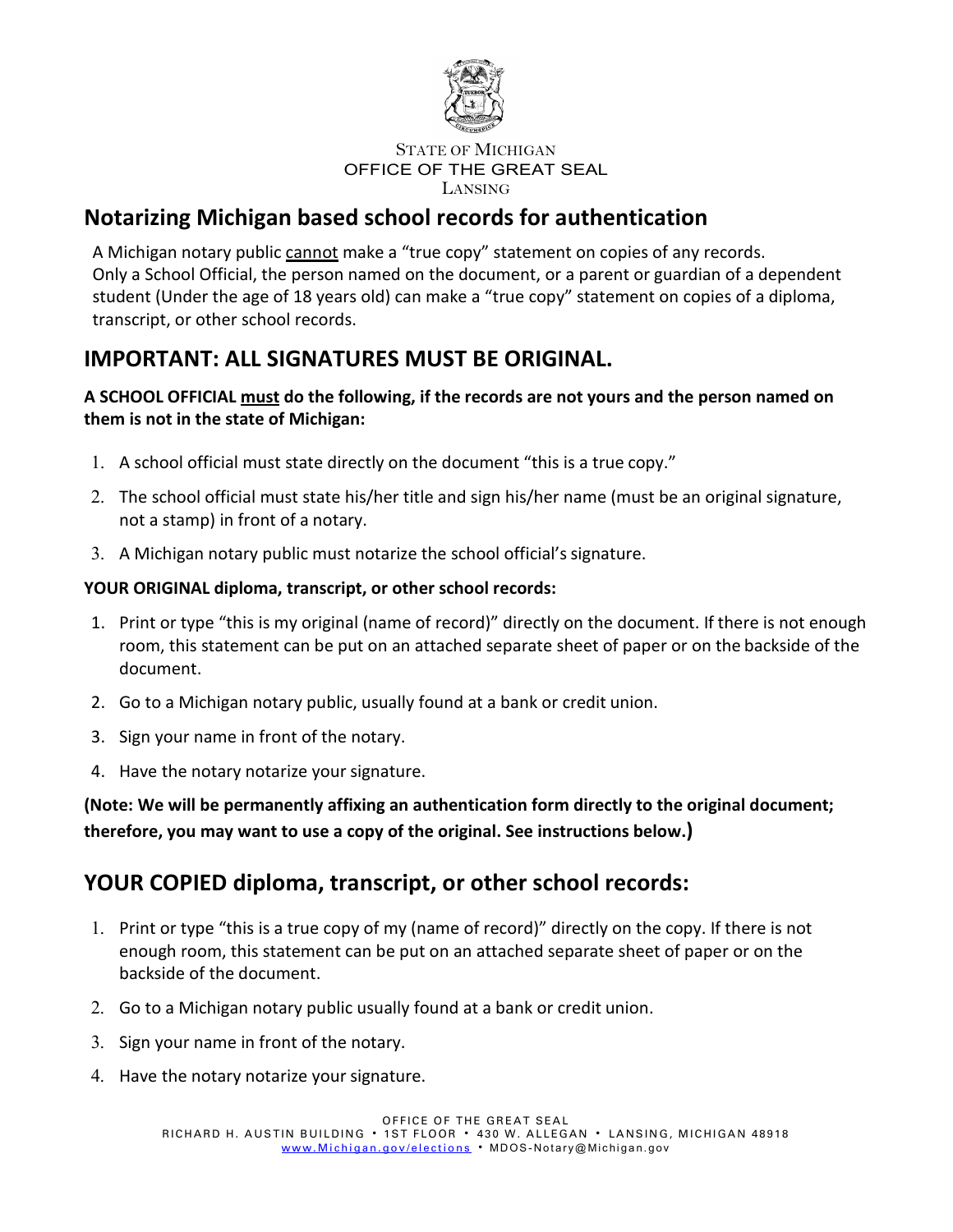

## **Notarizing Michigan based school records for authentication**

A Michigan notary public cannot make a "true copy" statement on copies of any records. Only a School Official, the person named on the document, or a parent or guardian of a dependent student (Under the age of 18 years old) can make a "true copy" statement on copies of a diploma, transcript, or other school records.

## **IMPORTANT: ALL SIGNATURES MUST BE ORIGINAL.**

## **A SCHOOL OFFICIAL must do the following, if the records are not yours and the person named on them is not in the state of Michigan:**

- 1. A school official must state directly on the document "this is a true copy."
- 2. The school official must state his/her title and sign his/her name (must be an original signature, not a stamp) in front of a notary.
- 3. A Michigan notary public must notarize the school official's signature.

## **YOUR ORIGINAL diploma, transcript, or other school records:**

- 1. Print or type "this is my original (name of record)" directly on the document. If there is not enough room, this statement can be put on an attached separate sheet of paper or on the backside of the document.
- 2. Go to a Michigan notary public, usually found at a bank or credit union.
- 3. Sign your name in front of the notary.
- 4. Have the notary notarize your signature.

**(Note: We will be permanently affixing an authentication form directly to the original document; therefore, you may want to use a copy of the original. See instructions below.)**

## **YOUR COPIED diploma, transcript, or other school records:**

- 1. Print or type "this is a true copy of my (name of record)" directly on the copy. If there is not enough room, this statement can be put on an attached separate sheet of paper or on the backside of the document.
- 2. Go to a Michigan notary public usually found at a bank or credit union.
- 3. Sign your name in front of the notary.
- 4. Have the notary notarize your signature.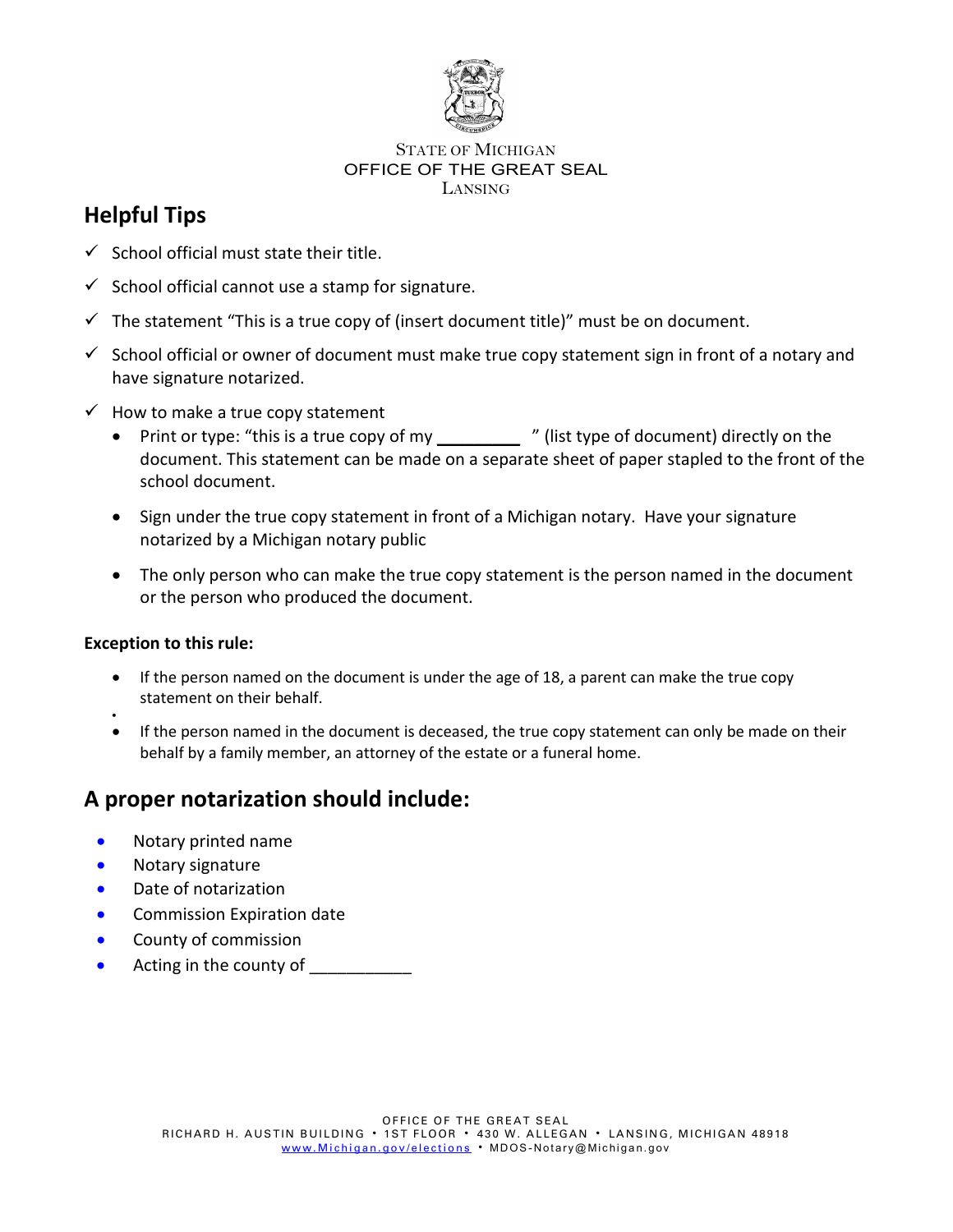

## **Helpful Tips**

- $\checkmark$  School official must state their title.
- $\checkmark$  School official cannot use a stamp for signature.
- $\checkmark$  The statement "This is a true copy of (insert document title)" must be on document.
- $\checkmark$  School official or owner of document must make true copy statement sign in front of a notary and have signature notarized.
- $\checkmark$  How to make a true copy statement
	- Print or type: "this is a true copy of my \_\_\_\_\_\_\_\_\_\_\_\_ " (list type of document) directly on the document. This statement can be made on a separate sheet of paper stapled to the front of the school document.
	- Sign under the true copy statement in front of a Michigan notary. Have your signature notarized by a Michigan notary public
	- The only person who can make the true copy statement is the person named in the document or the person who produced the document.

## **Exception to this rule:**

- If the person named on the document is under the age of 18, a parent can make the true copy statement on their behalf.
- • If the person named in the document is deceased, the true copy statement can only be made on their behalf by a family member, an attorney of the estate or a funeral home.

## **A proper notarization should include:**

- Notary printed name
- Notary signature
- Date of notarization
- Commission Expiration date
- County of commission
- Acting in the county of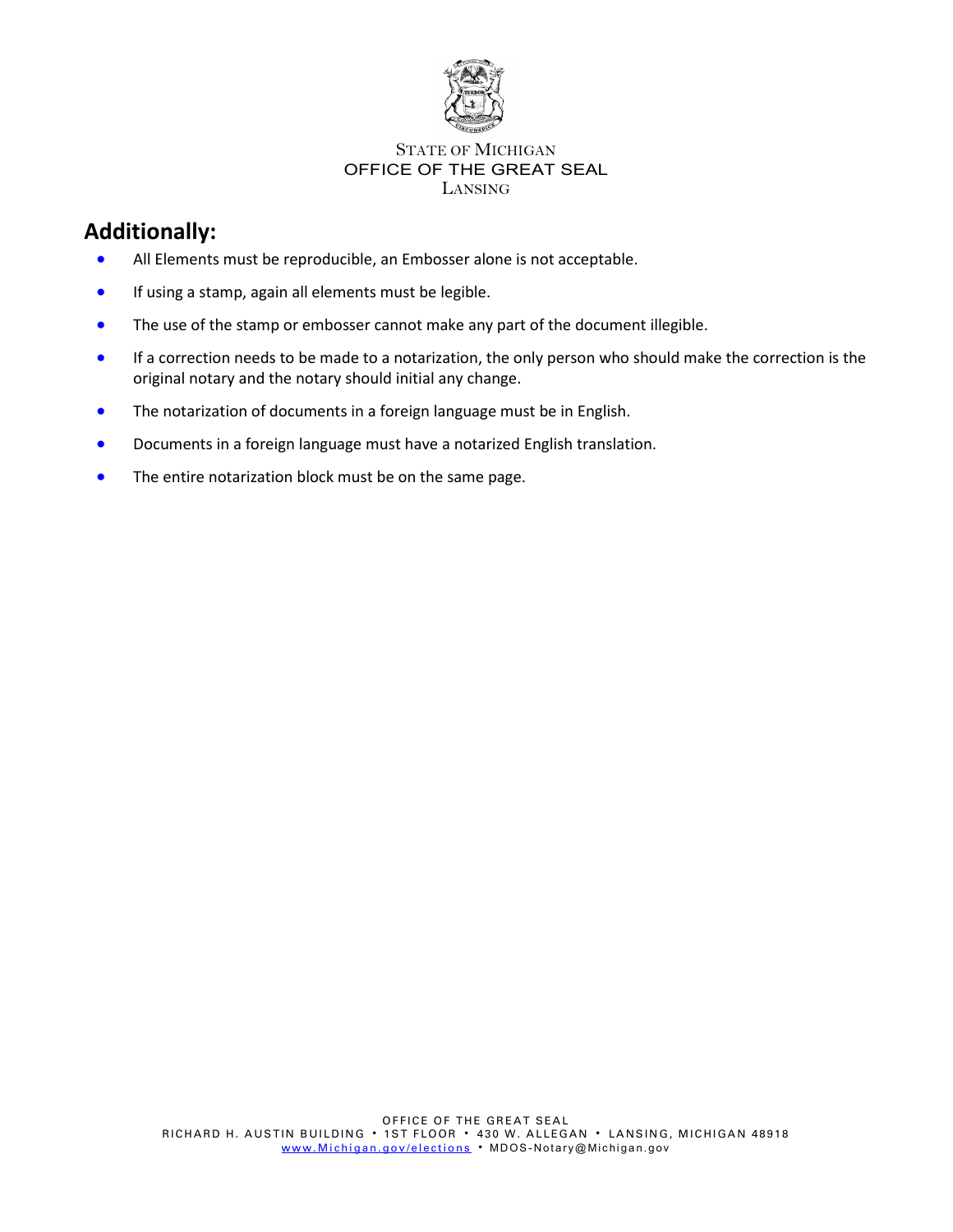

## **Additionally:**

- All Elements must be reproducible, an Embosser alone is not acceptable.
- If using a stamp, again all elements must be legible.
- The use of the stamp or embosser cannot make any part of the document illegible.
- If a correction needs to be made to a notarization, the only person who should make the correction is the original notary and the notary should initial any change.
- The notarization of documents in a foreign language must be in English.
- Documents in a foreign language must have a notarized English translation.
- The entire notarization block must be on the same page.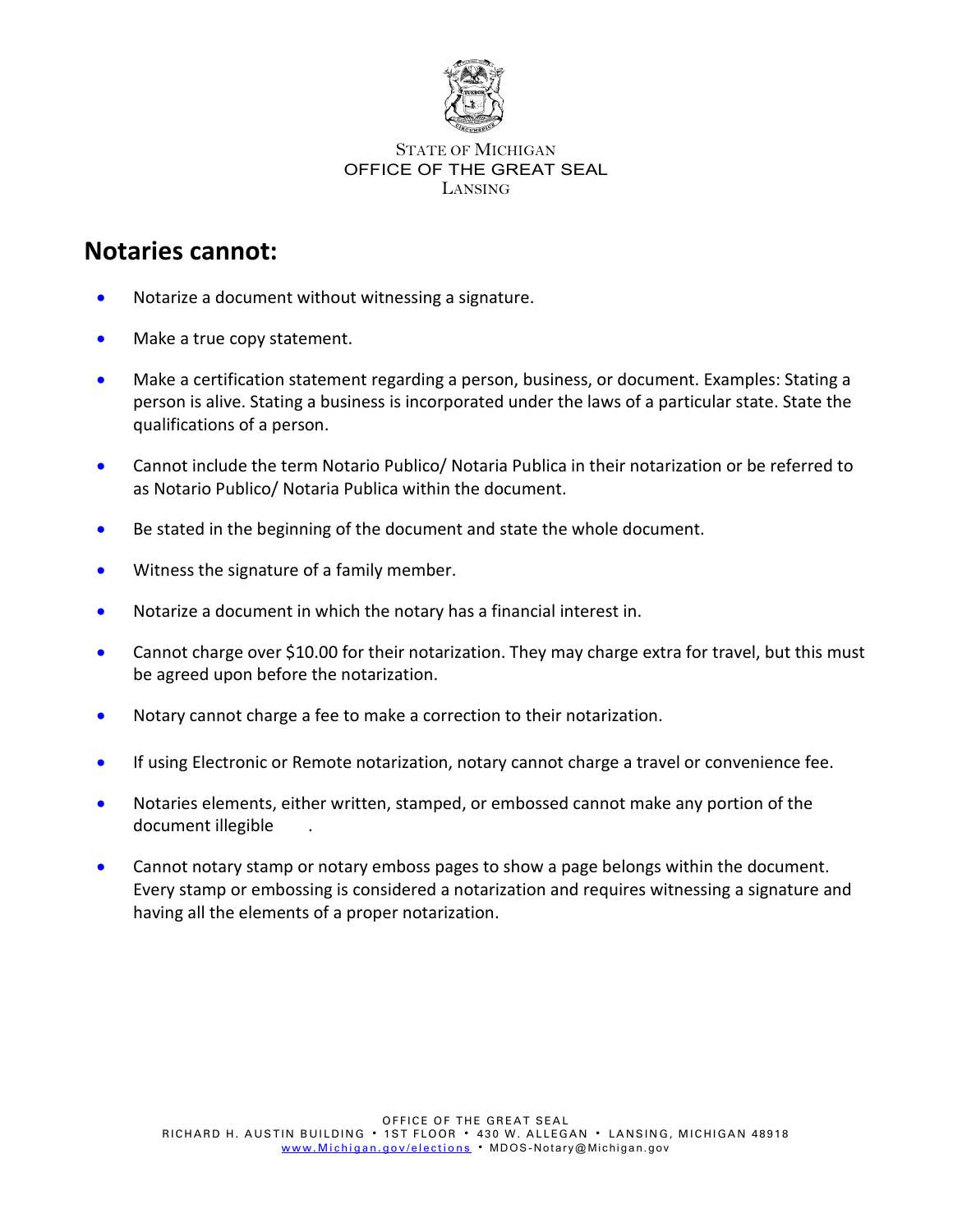

# **Notaries cannot:**

- Notarize a document without witnessing a signature.
- Make a true copy statement.
- Make a certification statement regarding a person, business, or document. Examples: Stating a person is alive. Stating a business is incorporated under the laws of a particular state. State the qualifications of a person.
- Cannot include the term Notario Publico/ Notaria Publica in their notarization or be referred to as Notario Publico/ Notaria Publica within the document.
- Be stated in the beginning of the document and state the whole document.
- Witness the signature of a family member.
- Notarize a document in which the notary has a financial interest in.
- Cannot charge over \$10.00 for their notarization. They may charge extra for travel, but this must be agreed upon before the notarization.
- Notary cannot charge a fee to make a correction to their notarization.
- If using Electronic or Remote notarization, notary cannot charge a travel or convenience fee.
- Notaries elements, either written, stamped, or embossed cannot make any portion of the document illegible .
- Cannot notary stamp or notary emboss pages to show a page belongs within the document. Every stamp or embossing is considered a notarization and requires witnessing a signature and having all the elements of a proper notarization.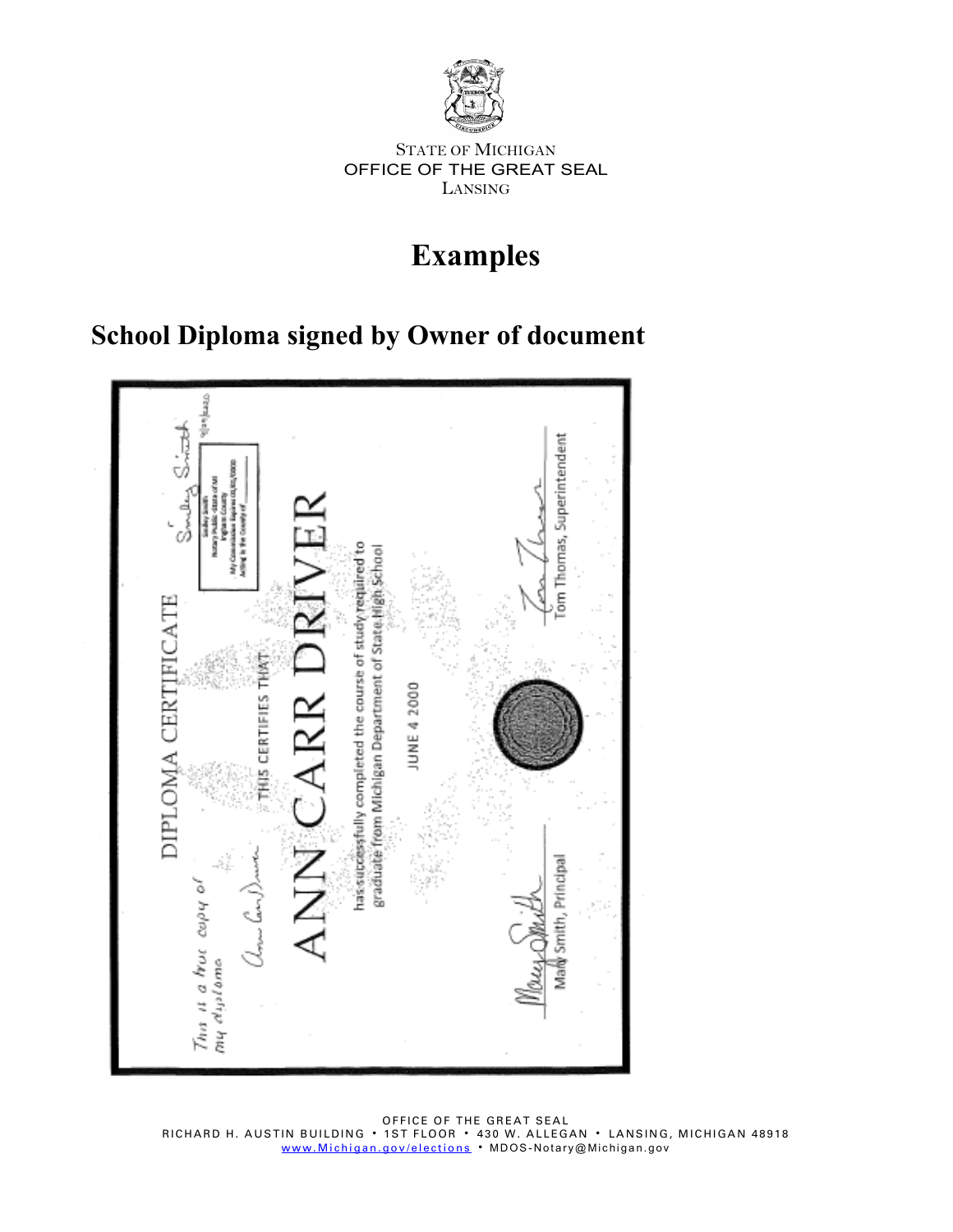

# **Examples**

# **School Diploma signed by Owner of document**



OFFICE OF THE GREAT SEAL RICHARD H. AUSTIN BUILDING 1ST FLOOR 430 W. ALLEGAN LANSING, MICHIGAN 48918 www.<u>Michigan.gov/elections</u> • MDOS-Notary@Michigan.gov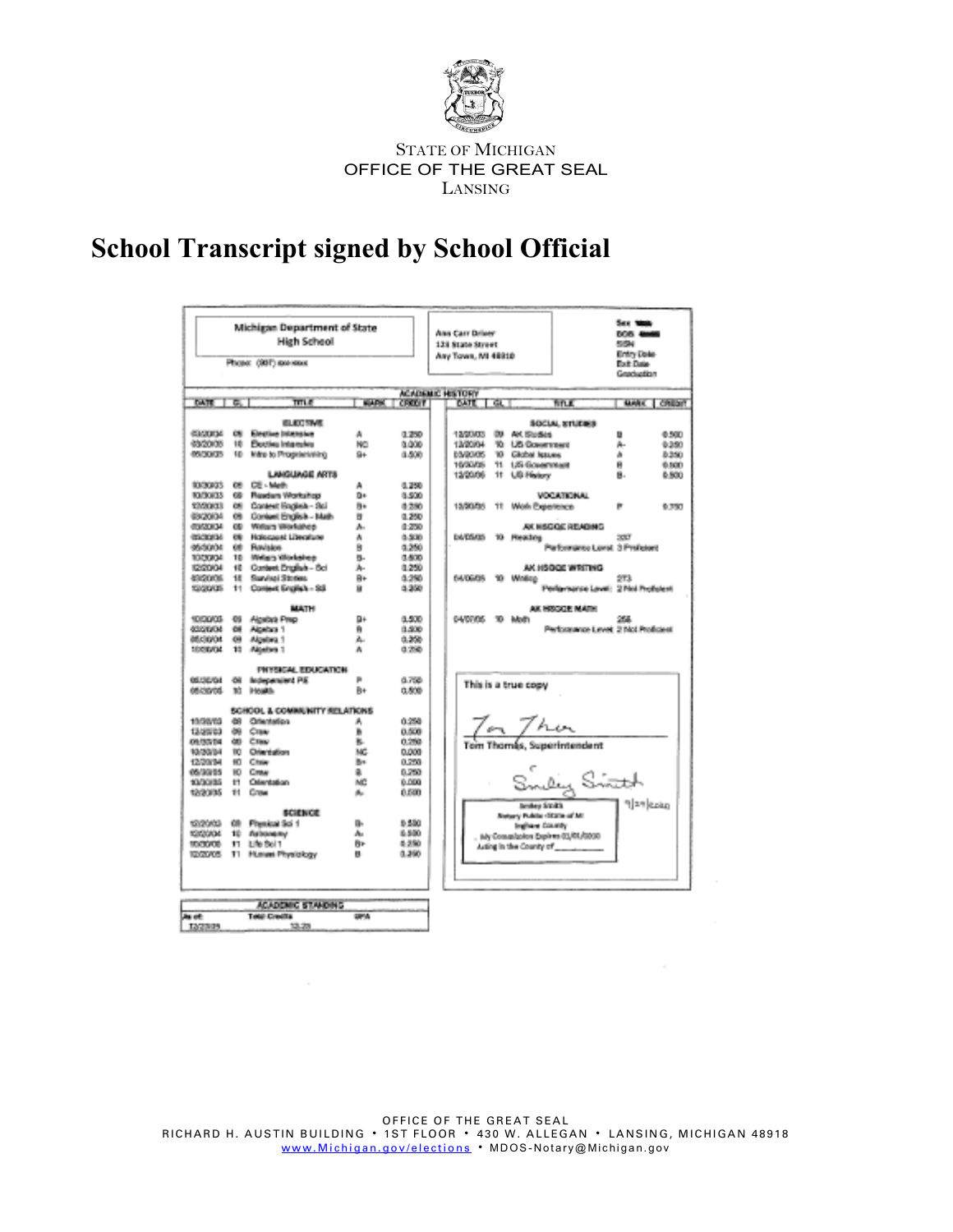

# **School Transcript signed by School Official**

|                       |       | Michigan Department of State     |                |                   |  |                                                   |                                   | Say 1986                         |       |
|-----------------------|-------|----------------------------------|----------------|-------------------|--|---------------------------------------------------|-----------------------------------|----------------------------------|-------|
| <b>High School</b>    |       |                                  |                |                   |  | Ann Carr Driver                                   |                                   | <b>DOS ANNO</b><br><b>MAGNET</b> |       |
|                       |       |                                  |                |                   |  | 128 State Street                                  |                                   | Entry Date                       |       |
| Phone: (SSF) services |       |                                  |                |                   |  | Ary Town, MI 48810                                |                                   | <b>Bott Date</b>                 |       |
|                       |       |                                  |                |                   |  |                                                   |                                   | Graduation                       |       |
|                       |       |                                  |                |                   |  |                                                   |                                   |                                  |       |
| DATE THE              |       | mus                              |                | <b>WADE CREET</b> |  | <b>ACADEMIC HISTORY</b><br>i Gali<br><b>TRATE</b> | fin e.                            | MARK I CREDIT                    |       |
|                       |       |                                  |                |                   |  |                                                   |                                   |                                  |       |
|                       |       | <b>WE WANTED</b>                 |                |                   |  |                                                   | SECUL SYLEMS                      |                                  |       |
| <b>CONTROL</b>        | CSI.  | Election Internation             | A.             | 0.250             |  | 12/20/03<br>OR AN ENGINE                          |                                   | U.                               | 0.500 |
| <b>SACTORIES</b>      | 10.   | Electing Internation             | <b>NO</b>      | a dras-           |  | 13/00PM<br>TO US GOVERNMENT                       |                                   | Á.                               | 0.950 |
| <b>CONTRACTOR</b>     | 101   | <b>Mare to Presidentifical</b>   | 94             | 0.500             |  | <b>BOARDIOS</b><br>'60 Global testame             |                                   | ä                                | 8,350 |
|                       |       | LAMOUR GE ARTS                   |                |                   |  | 10/00/25<br>71 125 Government                     |                                   | Ĥ.<br>區.                         | 6,500 |
| \$100,000.            | CH.   | <b>CRIL Made</b>                 |                | 8.356             |  | 12/00/06<br>11 US Holey                           |                                   |                                  | 6,500 |
| <b>MARGERS</b>        |       | 68 Readers Worksheet             | 牽<br>Bio.      | 8,500             |  |                                                   | MOORROOM AT                       |                                  |       |
| 10000003              |       | 08 Contest Rockels- Sol          | B.             | 4.250             |  | 15/50/259<br>11 Moli Experience                   |                                   | g.                               | 6,353 |
| discovered.           |       | 09 Contest English - Mail-       | 匣              | 0.250             |  |                                                   |                                   |                                  |       |
| distants.             |       | 00 Welliam Stradations           | A.             | 10/25/02          |  |                                                   | and resolution instruments.       |                                  |       |
| encronal.             |       | <b>CRI Hollocaust Libroships</b> | A.             | 0.500             |  | <b>DATISTIS</b><br>10.<br><b>Heating</b>          |                                   | 2007                             |       |
| 10020904              |       | 68 Rodston                       | R.             | 0.250             |  |                                                   | Partnershee Level 3 Professor     |                                  |       |
| DOMESTIC:             |       | 10 Walters Windows               | 氟.             | 0.600             |  |                                                   |                                   |                                  |       |
| <b>STORIAL</b>        |       | 40 Contact Profision Act         | A.             | 8.050             |  |                                                   | AN HISRATIC WINDOWS.              |                                  |       |
| 49/2012 12:55         |       | 18 Standard Stories              | Ю×.            | 6.398             |  | 64/05/09<br>10 Wallen                             |                                   | 973                              |       |
| 120505005             |       | 11 Contest South & SS            | ü.             | 6.250             |  |                                                   | Performance Level: 2 Not Performi |                                  |       |
|                       |       |                                  |                |                   |  |                                                   |                                   |                                  |       |
| 1009008               | 95    | <b>MATH</b><br>Alcebal Priz-     | BH.            | 0.500             |  | 04/07/05<br>30 Main                               | AK HROCKE MATH                    | 255.                             |       |
| <b>ATTENDANCE</b>     | 68    | Albehan 1                        | m.             | 8,500             |  |                                                   | Performance Level 3 McLPmBdeet    |                                  |       |
| <b>ABRICANAL</b>      | 69    | Aktebra 1                        | A.             | 0.250             |  |                                                   |                                   |                                  |       |
| <b>SECTION</b>        | 10.   | Albehan 1                        | ā.             | 0.250             |  |                                                   |                                   |                                  |       |
|                       |       |                                  |                |                   |  |                                                   |                                   |                                  |       |
|                       |       | PHYSICAL EDUCATION               |                |                   |  |                                                   |                                   |                                  |       |
| <b>GEISERIA</b>       | 68    | Independent P.E.                 | g.             | 6.768             |  | This is a true copy                               |                                   |                                  |       |
| Anavana.              |       | 30 Hought                        | B÷.            | 0.500             |  |                                                   |                                   |                                  |       |
|                       |       | ROBOOK, & COMBILINITY WILL STONE |                |                   |  |                                                   |                                   |                                  |       |
| 10/30/03              |       | 69 Offentation                   | ă.             | 6,258             |  |                                                   |                                   |                                  |       |
| 13.00033              |       | 80 Case                          | B.             | 0.500             |  |                                                   |                                   |                                  |       |
| <b>COMMODAL</b>       |       | dill Class                       | æ.             | 0.250             |  | $\frac{7}{10}$ Then $\frac{7}{10}$ Then           |                                   |                                  |       |
| 10/30/88              |       | 10 Ofertation                    | MC.            | 0.000             |  |                                                   |                                   |                                  |       |
| 40/20/04              |       | 10 Case                          | Box.           | o peo.            |  |                                                   |                                   |                                  |       |
| 49-120-04             | 60.   | Circulati                        | 10             | 0.259             |  |                                                   |                                   |                                  |       |
| 100/00/08             |       | 11 Olivatelian                   | MC.            | 6,000             |  |                                                   |                                   |                                  |       |
| 12/20/20              | 100   | Crew                             | the.           | 0.000             |  |                                                   |                                   |                                  |       |
|                       |       | <b><i>BESENCE</i></b>            |                |                   |  |                                                   | Smilley Smith                     |                                  |       |
| 10090403              | 備     | Planning Sci 1                   | m.             | 9,550             |  | Status v. Public (State of M)<br>Indian County    |                                   |                                  |       |
| 10030834              | - 101 | debonanci                        | dia.           | 6,500             |  | Ny Commission Engineer(1,01/0000)                 |                                   |                                  |       |
| teratories.           | - 971 | 3 Bulbert 1                      | Br-            | 0.350             |  | Author in this County of County of                |                                   |                                  |       |
|                       |       | 10/2005 T1 Home Physiology       | ш.             | 0.390             |  |                                                   |                                   |                                  |       |
|                       |       |                                  |                |                   |  |                                                   |                                   |                                  |       |
|                       |       |                                  |                |                   |  |                                                   |                                   |                                  |       |
|                       |       |                                  |                |                   |  |                                                   |                                   |                                  |       |
|                       |       | ACADEMIC STANDING                |                |                   |  |                                                   |                                   |                                  |       |
| <b>December</b>       |       | Total Couldn't                   | <b>Carried</b> |                   |  |                                                   |                                   |                                  |       |
| <b>TANKING</b>        |       | 13.25                            |                |                   |  |                                                   |                                   |                                  |       |
|                       |       |                                  |                |                   |  |                                                   |                                   |                                  |       |